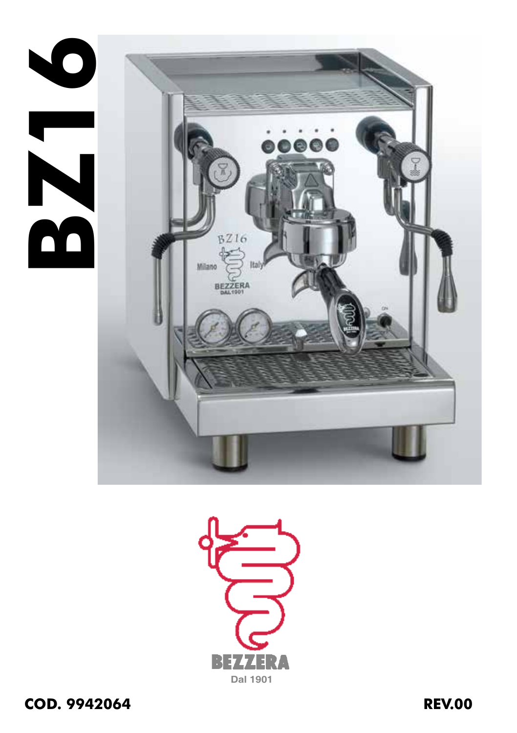

**Dal 1901**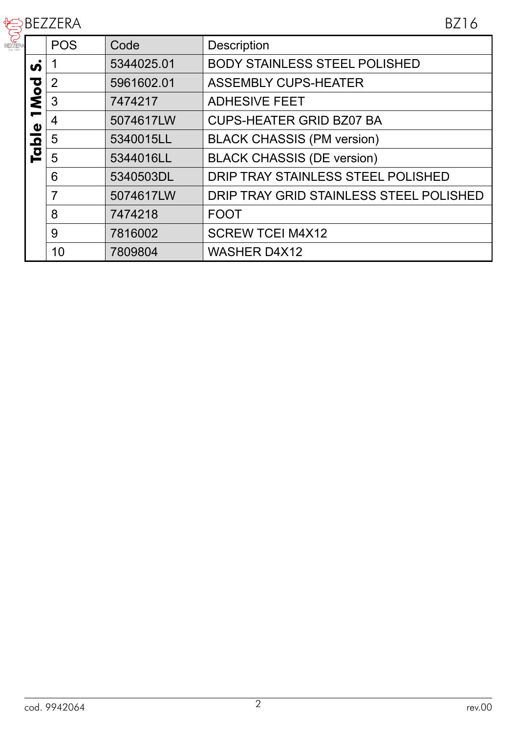| BEZZERA |            |            | BZ16                                    |
|---------|------------|------------|-----------------------------------------|
|         | <b>POS</b> | Code       | Description                             |
| ທ່      |            | 5344025.01 | <b>BODY STAINLESS STEEL POLISHED</b>    |
|         | 2          | 5961602.01 | <b>ASSEMBLY CUPS-HEATER</b>             |
| Mod     | 3          | 7474217    | <b>ADHESIVE FEET</b>                    |
| ē       | 4          | 5074617LW  | CUPS-HEATER GRID BZ07 BA                |
| Table   | 5          | 5340015LL  | <b>BLACK CHASSIS (PM version)</b>       |
|         | 5          | 5344016LL  | <b>BLACK CHASSIS (DE version)</b>       |
|         | 6          | 5340503DL  | DRIP TRAY STAINLESS STEEL POLISHED      |
|         | 7          | 5074617LW  | DRIP TRAY GRID STAINLESS STEEL POLISHED |
|         | 8          | 7474218    | <b>FOOT</b>                             |
|         | 9          | 7816002    | <b>SCREW TCEI M4X12</b>                 |
|         | 10         | 7809804    | <b>WASHER D4X12</b>                     |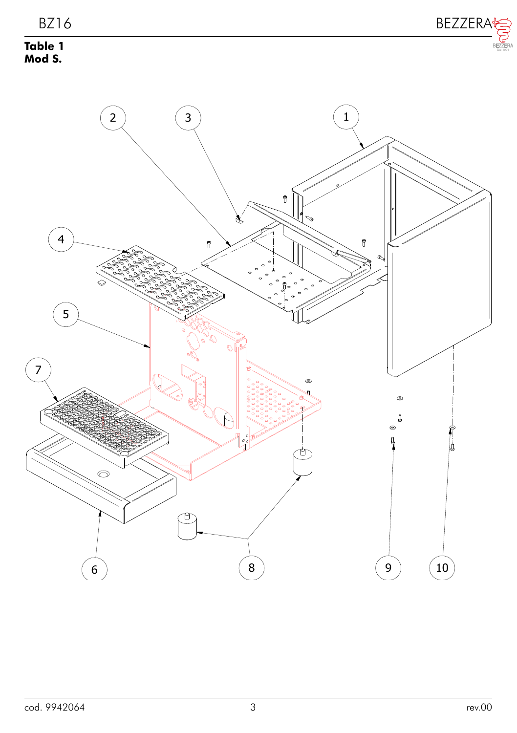

#### **Table 1 Mod S.**

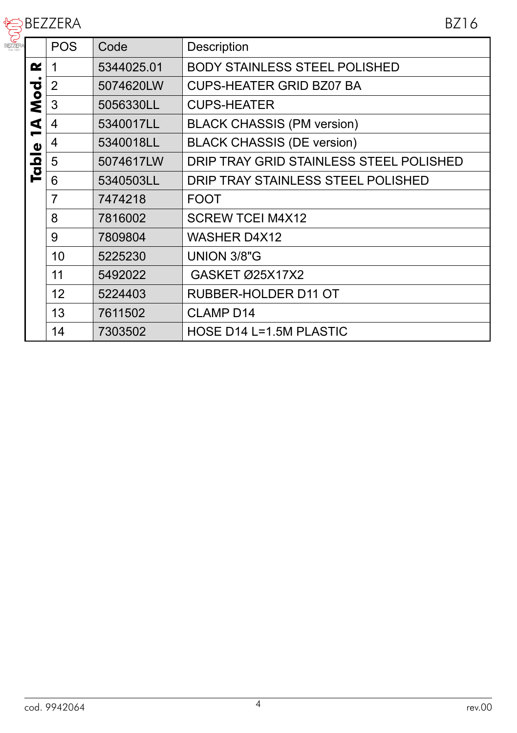|           |                   | BEZZERA        |            | BZ16                                    |
|-----------|-------------------|----------------|------------|-----------------------------------------|
| <b>DO</b> |                   | <b>POS</b>     | Code       | Description                             |
|           | ≃                 | 1              | 5344025.01 | <b>BODY STAINLESS STEEL POLISHED</b>    |
|           | Mod.<br>⋖<br>ω    | $\overline{2}$ | 5074620LW  | CUPS-HEATER GRID BZ07 BA                |
|           |                   | 3              | 5056330LL  | <b>CUPS-HEATER</b>                      |
|           |                   | 4              | 5340017LL  | <b>BLACK CHASSIS (PM version)</b>       |
|           |                   | 4              | 5340018LL  | <b>BLACK CHASSIS (DE version)</b>       |
|           | Tabl <sup>i</sup> | 5              | 5074617LW  | DRIP TRAY GRID STAINLESS STEEL POLISHED |
|           |                   | 6              | 5340503LL  | DRIP TRAY STAINLESS STEEL POLISHED      |
|           |                   | 7              | 7474218    | <b>FOOT</b>                             |
|           |                   | 8              | 7816002    | <b>SCREW TCEI M4X12</b>                 |
|           |                   | 9              | 7809804    | WASHER D4X12                            |
|           |                   | 10             | 5225230    | UNION 3/8"G                             |
|           |                   | 11             | 5492022    | GASKET Ø25X17X2                         |
|           |                   | 12             | 5224403    | RUBBER-HOLDER D11 OT                    |
|           |                   | 13             | 7611502    | CLAMP D14                               |
|           |                   | 14             | 7303502    | HOSE D14 L=1.5M PLASTIC                 |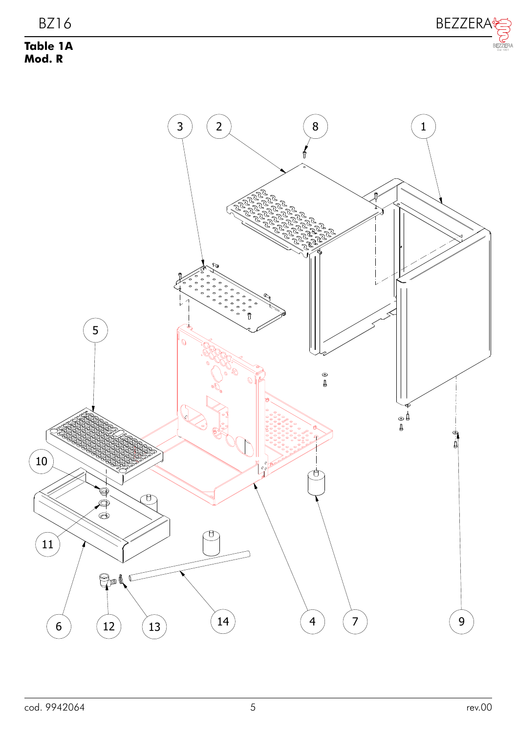| BZ16                                                                          |                                |                                           | <b>BEZZERA</b>   |
|-------------------------------------------------------------------------------|--------------------------------|-------------------------------------------|------------------|
| Table 1A<br>Mod. R                                                            |                                |                                           | <b>BEZZER</b>    |
|                                                                               | $\overline{2}$<br>$\mathbf{3}$ | 8<br>Ú                                    | $\mathbf 1$      |
|                                                                               |                                |                                           |                  |
|                                                                               |                                |                                           |                  |
| $\overline{\mathbf{5}}$                                                       | Ó                              |                                           |                  |
|                                                                               | $\delta$                       | $\overset{\circ}{\mathbb{I}}$             | ال<br>وا         |
| $10\,$                                                                        |                                | فخلفا<br>শু                               | Д                |
| $\circledcirc$<br>$\hat{\mathbf{\varphi}}$<br>$\dot{\bullet}$<br>$\boxed{11}$ | ত<br>U                         |                                           |                  |
| $\bigoplus_{\alpha} \mathbb{Q}$                                               |                                |                                           |                  |
| $\boldsymbol{6}$<br>$12\,$                                                    | $14\,$<br>13                   | $\overline{7}$<br>$\overline{\mathbf{r}}$ | $\boldsymbol{9}$ |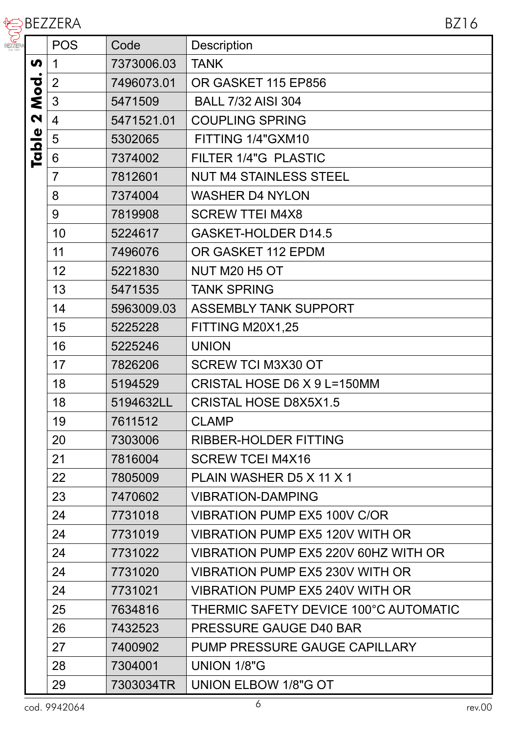# BEZZERA BZ16

| łΑ                   | <b>POS</b>     | Code       | Description                            |
|----------------------|----------------|------------|----------------------------------------|
| n                    | 1              | 7373006.03 | <b>TANK</b>                            |
| Mod.                 | $\overline{2}$ | 7496073.01 | OR GASKET 115 EP856                    |
|                      | 3              | 5471509    | <b>BALL 7/32 AISI 304</b>              |
| $\blacktriangleleft$ | $\overline{4}$ | 5471521.01 | <b>COUPLING SPRING</b>                 |
| Table                | 5              | 5302065    | FITTING 1/4"GXM10                      |
|                      | 6              | 7374002    | FILTER 1/4"G PLASTIC                   |
|                      | $\overline{7}$ | 7812601    | <b>NUT M4 STAINLESS STEEL</b>          |
|                      | 8              | 7374004    | <b>WASHER D4 NYLON</b>                 |
|                      | 9              | 7819908    | <b>SCREW TTEI M4X8</b>                 |
|                      | 10             | 5224617    | GASKET-HOLDER D14.5                    |
|                      | 11             | 7496076    | OR GASKET 112 EPDM                     |
|                      | 12             | 5221830    | NUT M20 H5 OT                          |
|                      | 13             | 5471535    | <b>TANK SPRING</b>                     |
|                      | 14             | 5963009.03 | <b>ASSEMBLY TANK SUPPORT</b>           |
|                      | 15             | 5225228    | FITTING M20X1,25                       |
|                      | 16             | 5225246    | <b>UNION</b>                           |
|                      | 17             | 7826206    | <b>SCREW TCI M3X30 OT</b>              |
|                      | 18             | 5194529    | CRISTAL HOSE D6 X 9 L=150MM            |
|                      | 18             | 5194632LL  | <b>CRISTAL HOSE D8X5X1.5</b>           |
|                      | 19             | 7611512    | <b>CLAMP</b>                           |
|                      | 20             | 7303006    | RIBBER-HOLDER FITTING                  |
|                      | 21             | 7816004    | <b>SCREW TCEI M4X16</b>                |
|                      | 22             | 7805009    | PLAIN WASHER D5 X 11 X 1               |
|                      | 23             | 7470602    | <b>VIBRATION-DAMPING</b>               |
|                      | 24             | 7731018    | VIBRATION PUMP EX5 100V C/OR           |
|                      | 24             | 7731019    | <b>VIBRATION PUMP EX5 120V WITH OR</b> |
|                      | 24             | 7731022    | VIBRATION PUMP EX5 220V 60HZ WITH OR   |
|                      | 24             | 7731020    | VIBRATION PUMP EX5 230V WITH OR        |
|                      | 24             | 7731021    | VIBRATION PUMP EX5 240V WITH OR        |
|                      | 25             | 7634816    | THERMIC SAFETY DEVICE 100°C AUTOMATIC  |
|                      | 26             | 7432523    | PRESSURE GAUGE D40 BAR                 |
|                      | 27             | 7400902    | PUMP PRESSURE GAUGE CAPILLARY          |
|                      | 28             | 7304001    | UNION 1/8"G                            |
|                      | 29             | 7303034TR  | UNION ELBOW 1/8"G OT                   |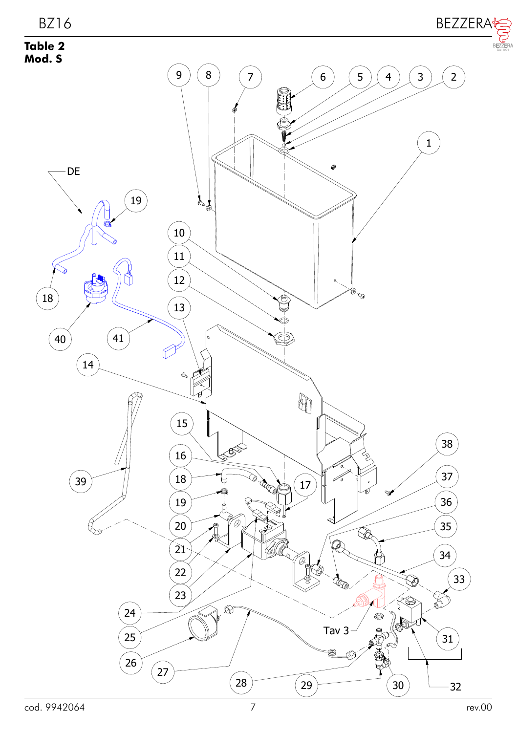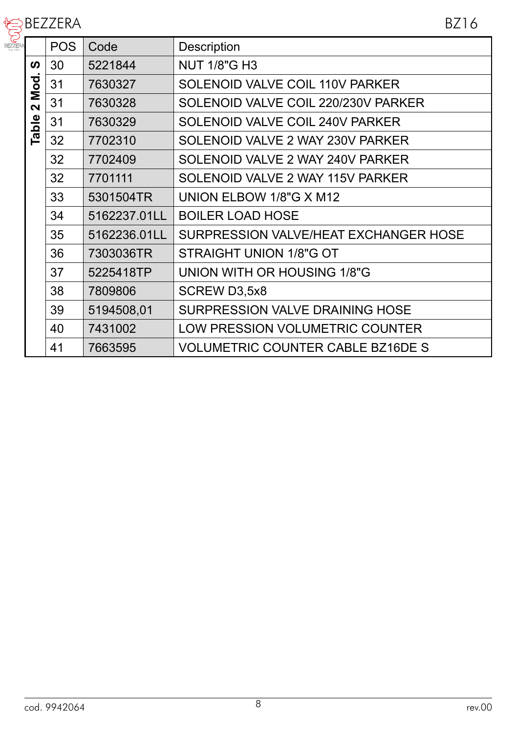|                             | BEZZERA              |            |              |                                          |
|-----------------------------|----------------------|------------|--------------|------------------------------------------|
| $\bigoplus_{\text{BEXZER}}$ |                      | <b>POS</b> | Code         | Description                              |
|                             | ທ                    | 30         | 5221844      | <b>NUT 1/8"G H3</b>                      |
|                             | Mod.                 | 31         | 7630327      | SOLENOID VALVE COIL 110V PARKER          |
|                             | $\mathbf{\tilde{c}}$ | 31         | 7630328      | SOLENOID VALVE COIL 220/230V PARKER      |
|                             | Table                | 31         | 7630329      | SOLENOID VALVE COIL 240V PARKER          |
|                             |                      | 32         | 7702310      | SOLENOID VALVE 2 WAY 230V PARKER         |
|                             |                      | 32         | 7702409      | SOLENOID VALVE 2 WAY 240V PARKER         |
|                             |                      | 32         | 7701111      | SOLENOID VALVE 2 WAY 115V PARKER         |
|                             |                      | 33         | 5301504TR    | UNION ELBOW 1/8"G X M12                  |
|                             |                      | 34         | 5162237.01LL | <b>BOILER LOAD HOSE</b>                  |
|                             |                      | 35         | 5162236.01LL | SURPRESSION VALVE/HEAT EXCHANGER HOSE    |
|                             |                      | 36         | 7303036TR    | STRAIGHT UNION 1/8"G OT                  |
|                             |                      | 37         | 5225418TP    | UNION WITH OR HOUSING 1/8"G              |
|                             |                      | 38         | 7809806      | SCREW D3,5x8                             |
|                             |                      | 39         | 5194508,01   | SURPRESSION VALVE DRAINING HOSE          |
|                             |                      | 40         | 7431002      | LOW PRESSION VOLUMETRIC COUNTER          |
|                             |                      | 41         | 7663595      | <b>VOLUMETRIC COUNTER CABLE BZ16DE S</b> |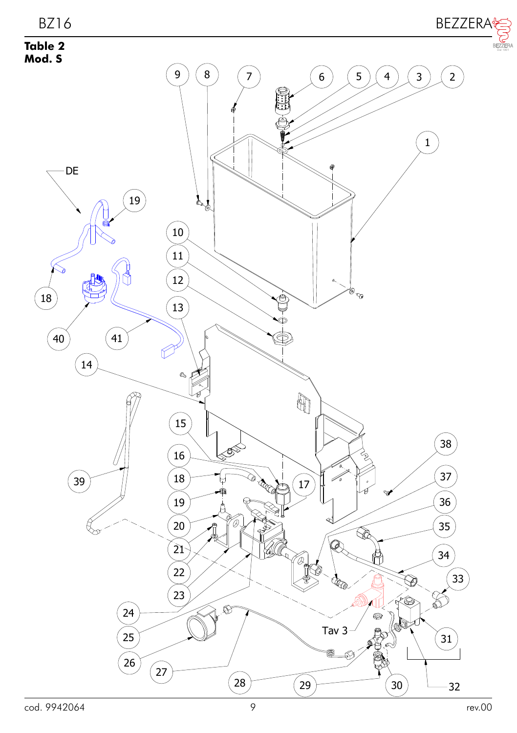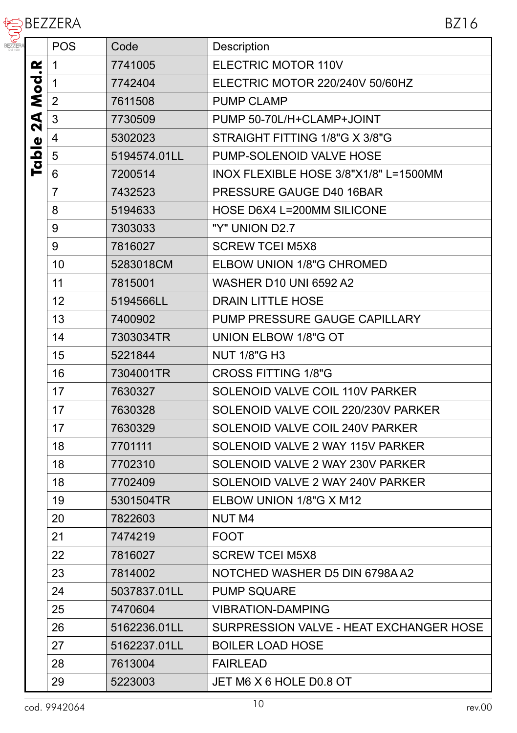# BEZZERA BZ16

|              | <b>POS</b>     | Code         | Description                             |
|--------------|----------------|--------------|-----------------------------------------|
| ĸ            | $\mathbf 1$    | 7741005      | ELECTRIC MOTOR 110V                     |
| Nod.         | 1              | 7742404      | ELECTRIC MOTOR 220/240V 50/60HZ         |
|              | 2              | 7611508      | PUMP CLAMP                              |
| $\mathbf{A}$ | 3              | 7730509      | PUMP 50-70L/H+CLAMP+JOINT               |
|              | 4              | 5302023      | STRAIGHT FITTING 1/8"G X 3/8"G          |
| Table        | 5              | 5194574.01LL | PUMP-SOLENOID VALVE HOSE                |
|              | 6              | 7200514      | INOX FLEXIBLE HOSE 3/8"X1/8" L=1500MM   |
|              | $\overline{7}$ | 7432523      | PRESSURE GAUGE D40 16BAR                |
|              | 8              | 5194633      | HOSE D6X4 L=200MM SILICONE              |
|              | 9              | 7303033      | "Y" UNION D2.7                          |
|              | 9              | 7816027      | <b>SCREW TCEI M5X8</b>                  |
|              | 10             | 5283018CM    | ELBOW UNION 1/8"G CHROMED               |
|              | 11             | 7815001      | <b>WASHER D10 UNI 6592 A2</b>           |
|              | 12             | 5194566LL    | DRAIN LITTLE HOSE                       |
|              | 13             | 7400902      | PUMP PRESSURE GAUGE CAPILLARY           |
|              | 14             | 7303034TR    | UNION ELBOW 1/8"G OT                    |
|              | 15             | 5221844      | <b>NUT 1/8"G H3</b>                     |
|              | 16             | 7304001TR    | <b>CROSS FITTING 1/8"G</b>              |
|              | 17             | 7630327      | SOLENOID VALVE COIL 110V PARKER         |
|              | 17             | 7630328      | SOLENOID VALVE COIL 220/230V PARKER     |
|              | 17             | 7630329      | SOLENOID VALVE COIL 240V PARKER         |
|              | 18             | 7701111      | SOLENOID VALVE 2 WAY 115V PARKER        |
|              | 18             | 7702310      | SOLENOID VALVE 2 WAY 230V PARKER        |
|              | 18             | 7702409      | SOLENOID VALVE 2 WAY 240V PARKER        |
|              | 19             | 5301504TR    | ELBOW UNION 1/8"G X M12                 |
|              | 20             | 7822603      | <b>NUT M4</b>                           |
|              | 21             | 7474219      | <b>FOOT</b>                             |
|              | 22             | 7816027      | <b>SCREW TCEI M5X8</b>                  |
|              | 23             | 7814002      | NOTCHED WASHER D5 DIN 6798A A2          |
|              | 24             | 5037837.01LL | PUMP SQUARE                             |
|              | 25             | 7470604      | <b>VIBRATION-DAMPING</b>                |
|              | 26             | 5162236.01LL | SURPRESSION VALVE - HEAT EXCHANGER HOSE |
|              | 27             | 5162237.01LL | <b>BOILER LOAD HOSE</b>                 |
|              | 28             | 7613004      | <b>FAIRLEAD</b>                         |
|              | 29             | 5223003      | JET M6 X 6 HOLE D0.8 OT                 |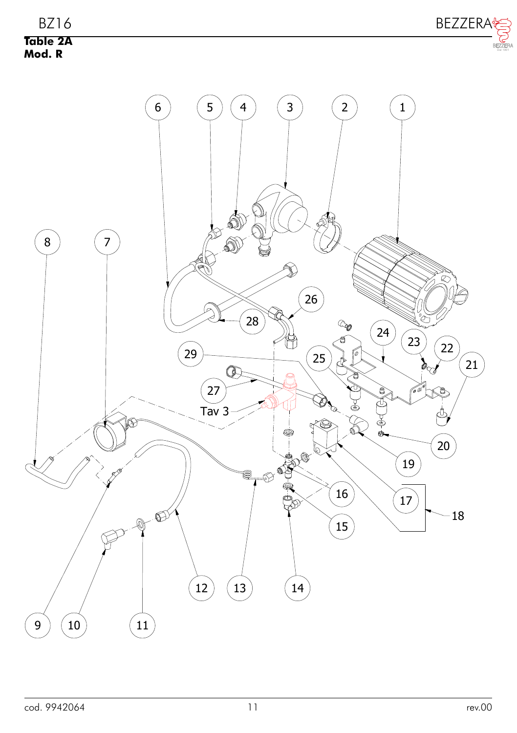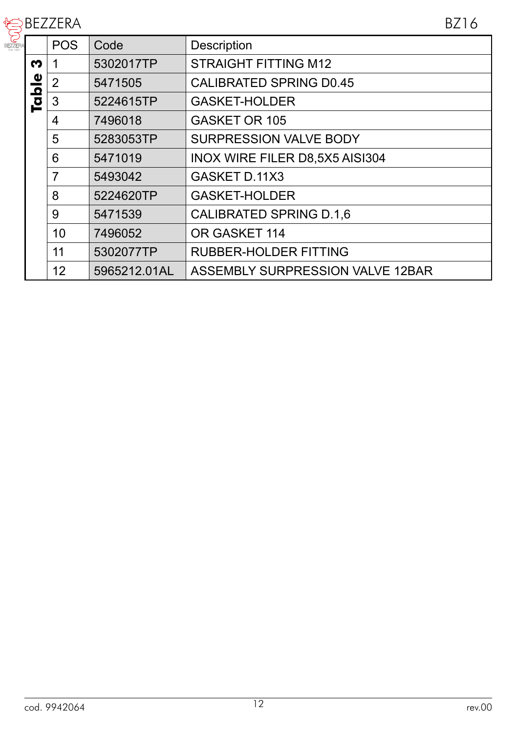|                                         | <b>BEZZERA</b>               |                |              |                                  | BZ16 |
|-----------------------------------------|------------------------------|----------------|--------------|----------------------------------|------|
| $\bigotimes_{\text{B} \in \text{ZZER}}$ |                              | <b>POS</b>     | Code         | Description                      |      |
|                                         | ო                            | 1              | 5302017TP    | <b>STRAIGHT FITTING M12</b>      |      |
|                                         | ω<br>$\overline{\mathbf{o}}$ | $\overline{2}$ | 5471505      | CALIBRATED SPRING D0.45          |      |
|                                         | 으                            | 3              | 5224615TP    | GASKET-HOLDER                    |      |
|                                         |                              | 4              | 7496018      | GASKET OR 105                    |      |
|                                         |                              | 5              | 5283053TP    | SURPRESSION VALVE BODY           |      |
|                                         |                              | 6              | 5471019      | INOX WIRE FILER D8,5X5 AISI304   |      |
|                                         |                              | 7              | 5493042      | GASKET D.11X3                    |      |
|                                         |                              | 8              | 5224620TP    | <b>GASKET-HOLDER</b>             |      |
|                                         |                              | 9              | 5471539      | CALIBRATED SPRING D.1,6          |      |
|                                         |                              | 10             | 7496052      | OR GASKET 114                    |      |
|                                         |                              | 11             | 5302077TP    | RUBBER-HOLDER FITTING            |      |
|                                         |                              | 12             | 5965212.01AL | ASSEMBLY SURPRESSION VALVE 12BAR |      |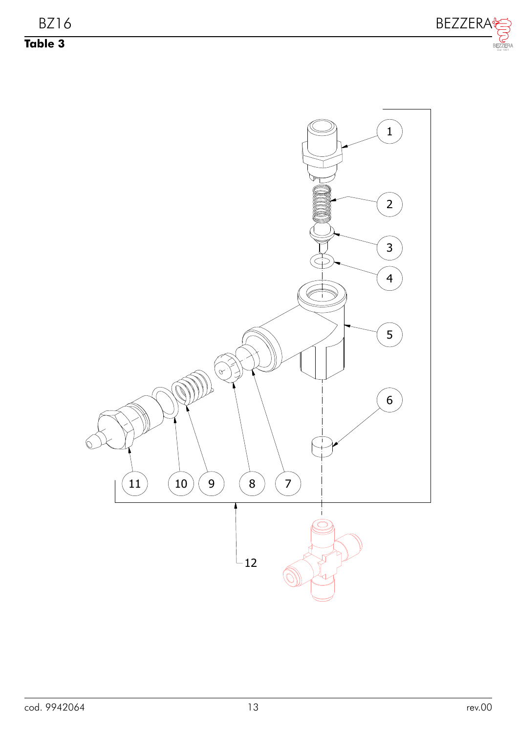| $\sim$ $\sim$ $\sim$<br>$\sim$ | -------<br>v<br>---       |
|--------------------------------|---------------------------|
| Table 3                        | <b>BEZZEN</b><br>Dal 1901 |

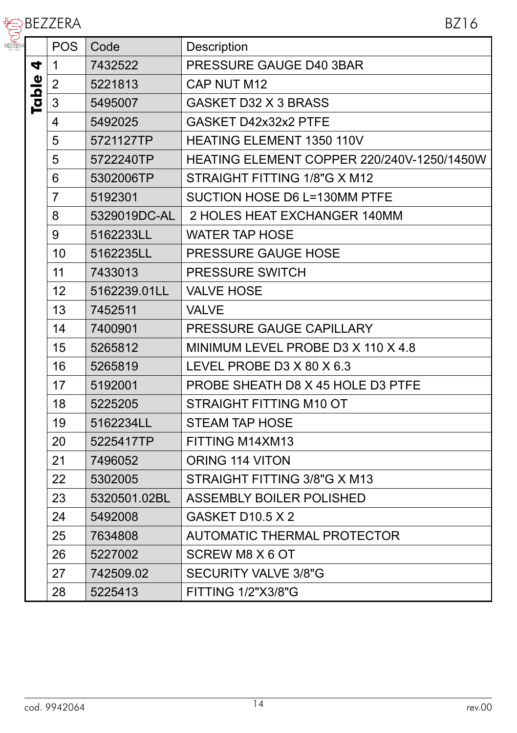|               |              | ⇒BEZZERA       |              | BZ16                                       |
|---------------|--------------|----------------|--------------|--------------------------------------------|
| $\frac{1}{2}$ |              | <b>POS</b>     | Code         | Description                                |
|               | 4            | $\mathbf{1}$   | 7432522      | PRESSURE GAUGE D40 3BAR                    |
|               |              | $\sqrt{2}$     | 5221813      | CAP NUT M12                                |
|               | <b>Table</b> | 3              | 5495007      | GASKET D32 X 3 BRASS                       |
|               |              | 4              | 5492025      | GASKET D42x32x2 PTFE                       |
|               |              | 5              | 5721127TP    | HEATING ELEMENT 1350 110V                  |
|               |              | 5              | 5722240TP    | HEATING ELEMENT COPPER 220/240V-1250/1450W |
|               |              | 6              | 5302006TP    | STRAIGHT FITTING 1/8"G X M12               |
|               |              | $\overline{7}$ | 5192301      | SUCTION HOSE D6 L=130MM PTFE               |
|               |              | 8              | 5329019DC-AL | 2 HOLES HEAT EXCHANGER 140MM               |
|               |              | 9              | 5162233LL    | <b>WATER TAP HOSE</b>                      |
|               |              | 10             | 5162235LL    | PRESSURE GAUGE HOSE                        |
|               |              | 11             | 7433013      | PRESSURE SWITCH                            |
|               |              | 12             | 5162239.01LL | <b>VALVE HOSE</b>                          |
|               |              | 13             | 7452511      | <b>VALVE</b>                               |
|               |              | 14             | 7400901      | PRESSURE GAUGE CAPILLARY                   |
|               |              | 15             | 5265812      | MINIMUM LEVEL PROBE D3 X 110 X 4.8         |
|               |              | 16             | 5265819      | LEVEL PROBE D3 X 80 X 6.3                  |
|               |              | 17             | 5192001      | PROBE SHEATH D8 X 45 HOLE D3 PTFE          |
|               |              | 18             | 5225205      | STRAIGHT FITTING M10 OT                    |
|               |              | 19             | 5162234LL    | <b>STEAM TAP HOSE</b>                      |
|               |              | 20             | 5225417TP    | FITTING M14XM13                            |
|               |              | 21             | 7496052      | ORING 114 VITON                            |
|               |              | 22             | 5302005      | STRAIGHT FITTING 3/8"G X M13               |
|               |              | 23             | 5320501.02BL | ASSEMBLY BOILER POLISHED                   |
|               |              | 24             | 5492008      | <b>GASKET D10.5 X 2</b>                    |
|               |              | 25             | 7634808      | AUTOMATIC THERMAL PROTECTOR                |
|               |              | 26             | 5227002      | SCREW M8 X 6 OT                            |
|               |              | 27             | 742509.02    | <b>SECURITY VALVE 3/8"G</b>                |
|               |              | 28             | 5225413      | FITTING 1/2"X3/8"G                         |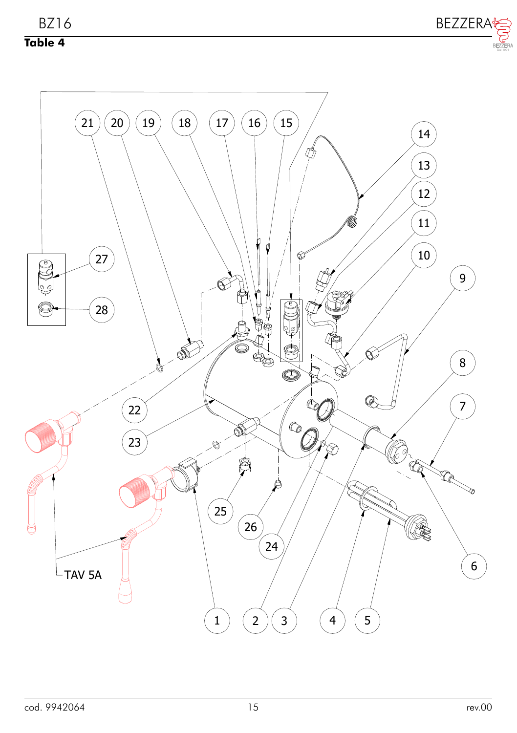# **Table 4**



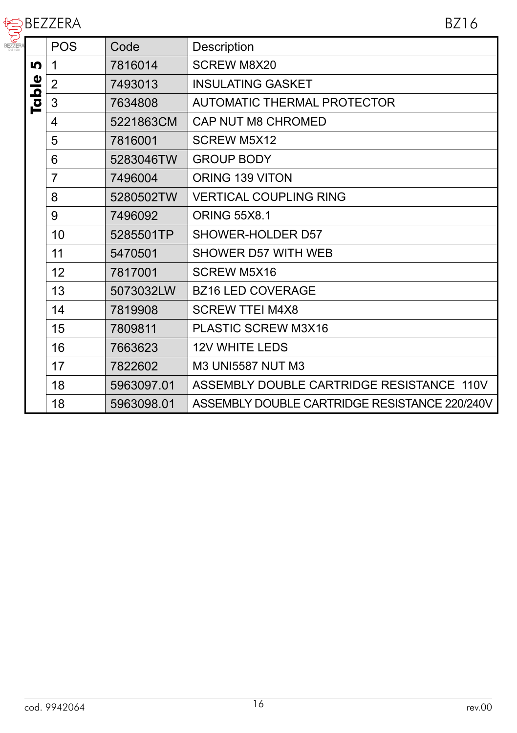|       | BEZZERA        |            | BZ16                                          |
|-------|----------------|------------|-----------------------------------------------|
|       | <b>POS</b>     | Code       | Description                                   |
| n.    | 1              | 7816014    | <b>SCREW M8X20</b>                            |
|       | $\overline{2}$ | 7493013    | <b>INSULATING GASKET</b>                      |
| Table | 3              | 7634808    | AUTOMATIC THERMAL PROTECTOR                   |
|       | 4              | 5221863CM  | CAP NUT M8 CHROMED                            |
|       | 5              | 7816001    | <b>SCREW M5X12</b>                            |
|       | 6              | 5283046TW  | <b>GROUP BODY</b>                             |
|       | $\overline{7}$ | 7496004    | ORING 139 VITON                               |
|       | 8              | 5280502TW  | <b>VERTICAL COUPLING RING</b>                 |
|       | 9              | 7496092    | <b>ORING 55X8.1</b>                           |
|       | 10             | 5285501TP  | SHOWER-HOLDER D57                             |
|       | 11             | 5470501    | SHOWER D57 WITH WEB                           |
|       | 12             | 7817001    | <b>SCREW M5X16</b>                            |
|       | 13             | 5073032LW  | <b>BZ16 LED COVERAGE</b>                      |
|       | 14             | 7819908    | <b>SCREW TTEI M4X8</b>                        |
|       | 15             | 7809811    | PLASTIC SCREW M3X16                           |
|       | 16             | 7663623    | <b>12V WHITE LEDS</b>                         |
|       | 17             | 7822602    | M3 UNI5587 NUT M3                             |
|       | 18             | 5963097.01 | ASSEMBLY DOUBLE CARTRIDGE RESISTANCE 110V     |
|       | 18             | 5963098.01 | ASSEMBLY DOUBLE CARTRIDGE RESISTANCE 220/240V |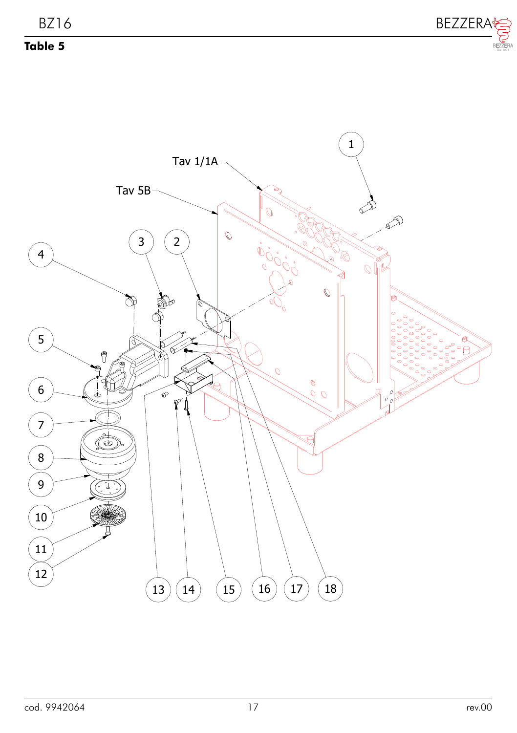

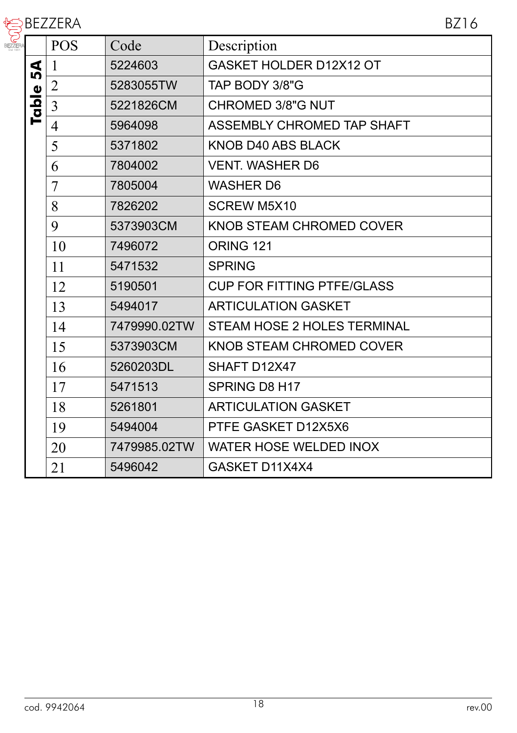|  |       | <b>BEZZERA</b> |              |                                   | <b>BZ16</b> |
|--|-------|----------------|--------------|-----------------------------------|-------------|
|  |       | <b>POS</b>     | Code         | Description                       |             |
|  | 54    | $\mathbf{1}$   | 5224603      | GASKET HOLDER D12X12 OT           |             |
|  | Table | $\overline{2}$ | 5283055TW    | TAP BODY 3/8"G                    |             |
|  |       | $\overline{3}$ | 5221826CM    | CHROMED 3/8"G NUT                 |             |
|  |       | $\overline{4}$ | 5964098      | ASSEMBLY CHROMED TAP SHAFT        |             |
|  |       | 5              | 5371802      | KNOB D40 ABS BLACK                |             |
|  |       | 6              | 7804002      | <b>VENT. WASHER D6</b>            |             |
|  |       | 7              | 7805004      | <b>WASHER D6</b>                  |             |
|  |       | 8              | 7826202      | <b>SCREW M5X10</b>                |             |
|  |       | 9              | 5373903CM    | KNOB STEAM CHROMED COVER          |             |
|  |       | 10             | 7496072      | <b>ORING 121</b>                  |             |
|  |       | 11             | 5471532      | <b>SPRING</b>                     |             |
|  |       | 12             | 5190501      | <b>CUP FOR FITTING PTFE/GLASS</b> |             |
|  |       | 13             | 5494017      | <b>ARTICULATION GASKET</b>        |             |
|  |       | 14             | 7479990.02TW | STEAM HOSE 2 HOLES TERMINAL       |             |
|  |       | 15             | 5373903CM    | KNOB STEAM CHROMED COVER          |             |
|  |       | 16             | 5260203DL    | SHAFT D12X47                      |             |
|  |       | 17             | 5471513      | SPRING D8 H17                     |             |
|  |       | 18             | 5261801      | <b>ARTICULATION GASKET</b>        |             |
|  |       | 19             | 5494004      | PTFE GASKET D12X5X6               |             |
|  |       | 20             | 7479985.02TW | WATER HOSE WELDED INOX            |             |
|  |       | 21             | 5496042      | GASKET D11X4X4                    |             |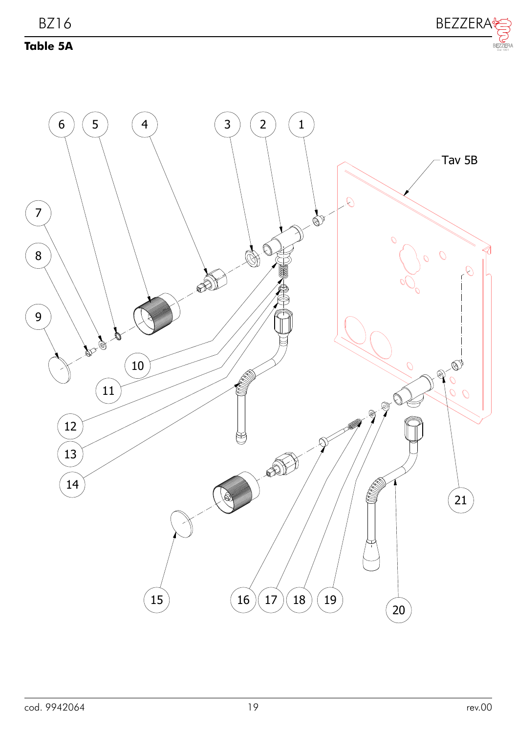#### **Table 5A**



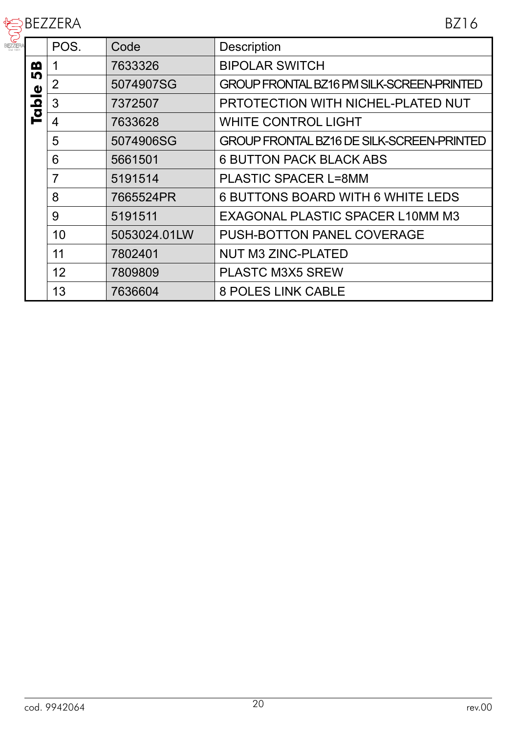|          |        | <b>BEZZERA</b> |              | BZ16                                             |
|----------|--------|----------------|--------------|--------------------------------------------------|
| <b>D</b> |        | POS.           | Code         | Description                                      |
|          | ≃      | 1              | 7633326      | <b>BIPOLAR SWITCH</b>                            |
|          | n<br>ω | $\overline{2}$ | 5074907SG    | <b>GROUP FRONTAL BZ16 PM SILK-SCREEN-PRINTED</b> |
|          | 읂      | 3              | 7372507      | PRTOTECTION WITH NICHEL-PLATED NUT               |
|          |        | $\overline{4}$ | 7633628      | <b>WHITE CONTROL LIGHT</b>                       |
|          |        | 5              | 5074906SG    | <b>GROUP FRONTAL BZ16 DE SILK-SCREEN-PRINTED</b> |
|          |        | 6              | 5661501      | <b>6 BUTTON PACK BLACK ABS</b>                   |
|          |        | 7              | 5191514      | <b>PLASTIC SPACER L=8MM</b>                      |
|          |        | 8              | 7665524PR    | 6 BUTTONS BOARD WITH 6 WHITE LEDS                |
|          |        | 9              | 5191511      | EXAGONAL PLASTIC SPACER L10MM M3                 |
|          |        | 10             | 5053024.01LW | PUSH-BOTTON PANEL COVERAGE                       |
|          |        | 11             | 7802401      | NUT M3 ZINC-PLATED                               |
|          |        | 12             | 7809809      | <b>PLASTC M3X5 SREW</b>                          |
|          |        | 13             | 7636604      | <b>8 POLES LINK CABLE</b>                        |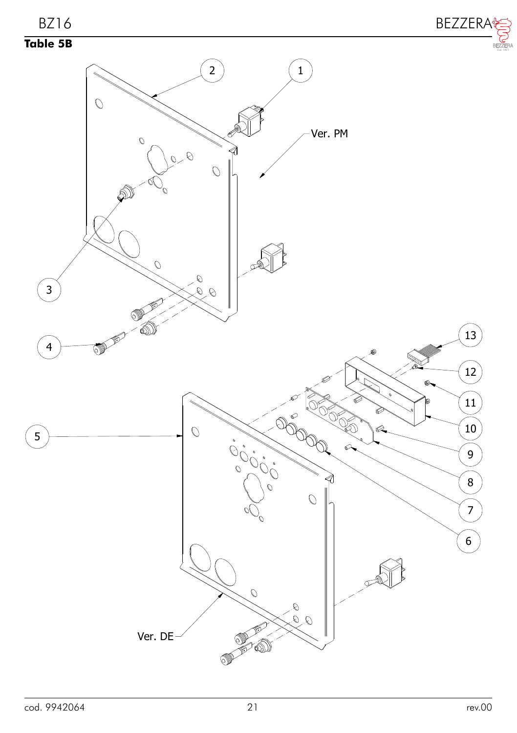

### **Table 5B**

BZ16 BEZZERA

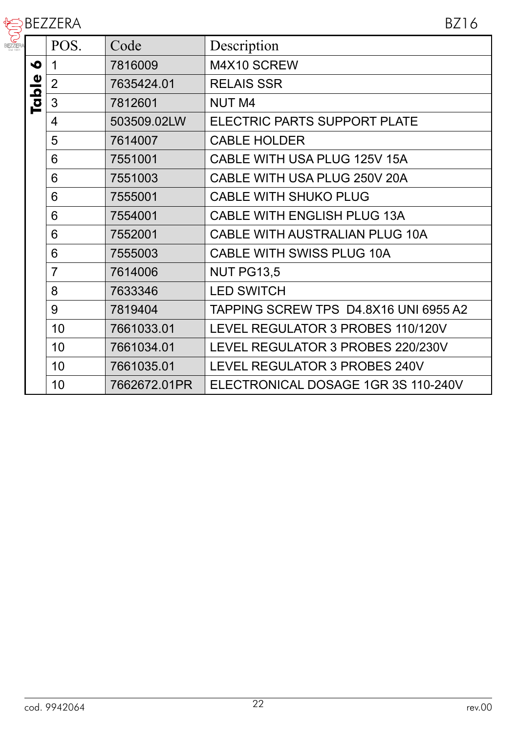|                                                                             | <b>BEZZERA</b> |              |                                       | <b>BZ16</b> |
|-----------------------------------------------------------------------------|----------------|--------------|---------------------------------------|-------------|
| $\sum_{\text{BEZEEP}^{\prime}}\prod_{\text{DFTEPP}^{\prime}}$<br>∾<br>Table | POS.           | Code         | Description                           |             |
|                                                                             | $\mathbf 1$    | 7816009      | M4X10 SCREW                           |             |
|                                                                             | $\overline{2}$ | 7635424.01   | <b>RELAIS SSR</b>                     |             |
|                                                                             | 3              | 7812601      | <b>NUT M4</b>                         |             |
|                                                                             | 4              | 503509.02LW  | ELECTRIC PARTS SUPPORT PLATE          |             |
|                                                                             | 5              | 7614007      | <b>CABLE HOLDER</b>                   |             |
|                                                                             | 6              | 7551001      | CABLE WITH USA PLUG 125V 15A          |             |
|                                                                             | 6              | 7551003      | CABLE WITH USA PLUG 250V 20A          |             |
|                                                                             | 6              | 7555001      | CABLE WITH SHUKO PLUG                 |             |
|                                                                             | 6              | 7554001      | CABLE WITH ENGLISH PLUG 13A           |             |
|                                                                             | 6              | 7552001      | CABLE WITH AUSTRALIAN PLUG 10A        |             |
|                                                                             | 6              | 7555003      | CABLE WITH SWISS PLUG 10A             |             |
|                                                                             | $\overline{7}$ | 7614006      | <b>NUT PG13,5</b>                     |             |
|                                                                             | 8              | 7633346      | <b>LED SWITCH</b>                     |             |
|                                                                             | 9              | 7819404      | TAPPING SCREW TPS D4.8X16 UNI 6955 A2 |             |
|                                                                             | 10             | 7661033.01   | LEVEL REGULATOR 3 PROBES 110/120V     |             |
|                                                                             | 10             | 7661034.01   | LEVEL REGULATOR 3 PROBES 220/230V     |             |
|                                                                             | 10             | 7661035.01   | LEVEL REGULATOR 3 PROBES 240V         |             |
|                                                                             | 10             | 7662672.01PR | ELECTRONICAL DOSAGE 1GR 3S 110-240V   |             |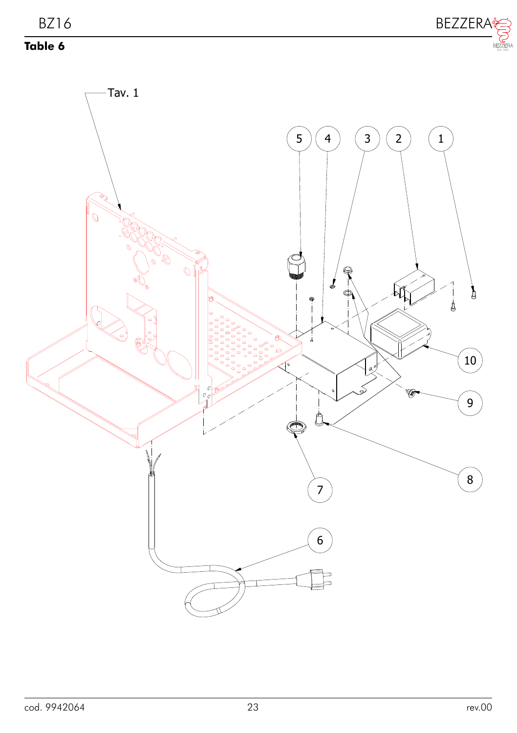### **Table 6**

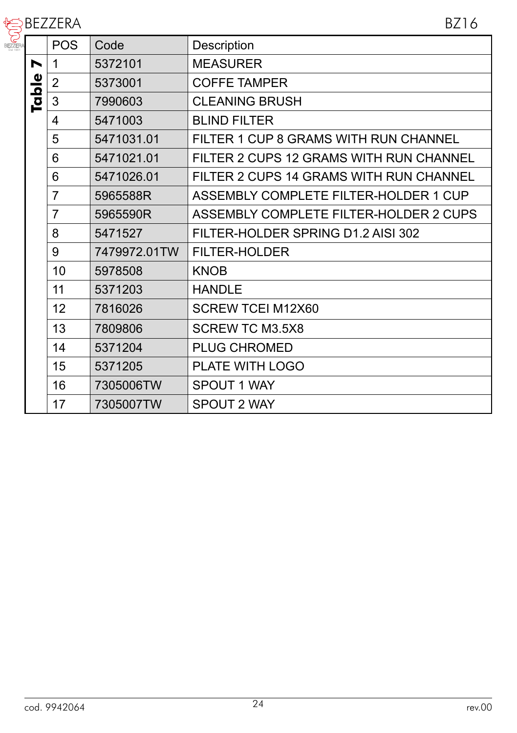| tool       | <b>BEZZERA</b> |                |              |                                         |  |  |
|------------|----------------|----------------|--------------|-----------------------------------------|--|--|
| N<br>Table |                | <b>POS</b>     | Code         | Description                             |  |  |
|            |                | $\mathbf 1$    | 5372101      | <b>MEASURER</b>                         |  |  |
|            |                | $\overline{2}$ | 5373001      | <b>COFFE TAMPER</b>                     |  |  |
|            |                | 3              | 7990603      | <b>CLEANING BRUSH</b>                   |  |  |
|            |                | 4              | 5471003      | <b>BLIND FILTER</b>                     |  |  |
|            |                | 5              | 5471031.01   | FILTER 1 CUP 8 GRAMS WITH RUN CHANNEL   |  |  |
|            |                | 6              | 5471021.01   | FILTER 2 CUPS 12 GRAMS WITH RUN CHANNEL |  |  |
|            |                | 6              | 5471026.01   | FILTER 2 CUPS 14 GRAMS WITH RUN CHANNEL |  |  |
|            |                | $\overline{7}$ | 5965588R     | ASSEMBLY COMPLETE FILTER-HOLDER 1 CUP   |  |  |
|            |                | $\overline{7}$ | 5965590R     | ASSEMBLY COMPLETE FILTER-HOLDER 2 CUPS  |  |  |
|            |                | 8              | 5471527      | FILTER-HOLDER SPRING D1.2 AISI 302      |  |  |
|            |                | 9              | 7479972.01TW | <b>FILTER-HOLDER</b>                    |  |  |
|            |                | 10             | 5978508      | <b>KNOB</b>                             |  |  |
|            |                | 11             | 5371203      | <b>HANDLE</b>                           |  |  |
|            |                | 12             | 7816026      | SCREW TCEL M12X60                       |  |  |
|            |                | 13             | 7809806      | <b>SCREW TC M3.5X8</b>                  |  |  |
|            |                | 14             | 5371204      | <b>PLUG CHROMED</b>                     |  |  |
|            |                | 15             | 5371205      | PLATE WITH LOGO                         |  |  |
|            |                | 16             | 7305006TW    | SPOUT 1 WAY                             |  |  |
|            |                | 17             | 7305007TW    | SPOUT 2 WAY                             |  |  |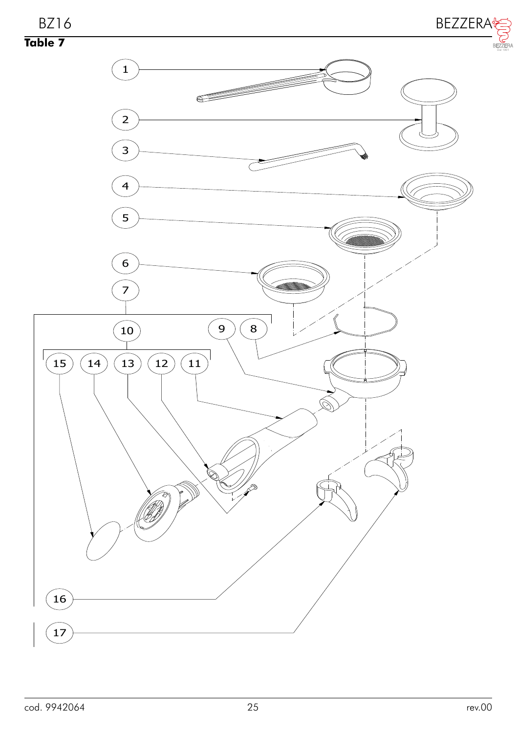